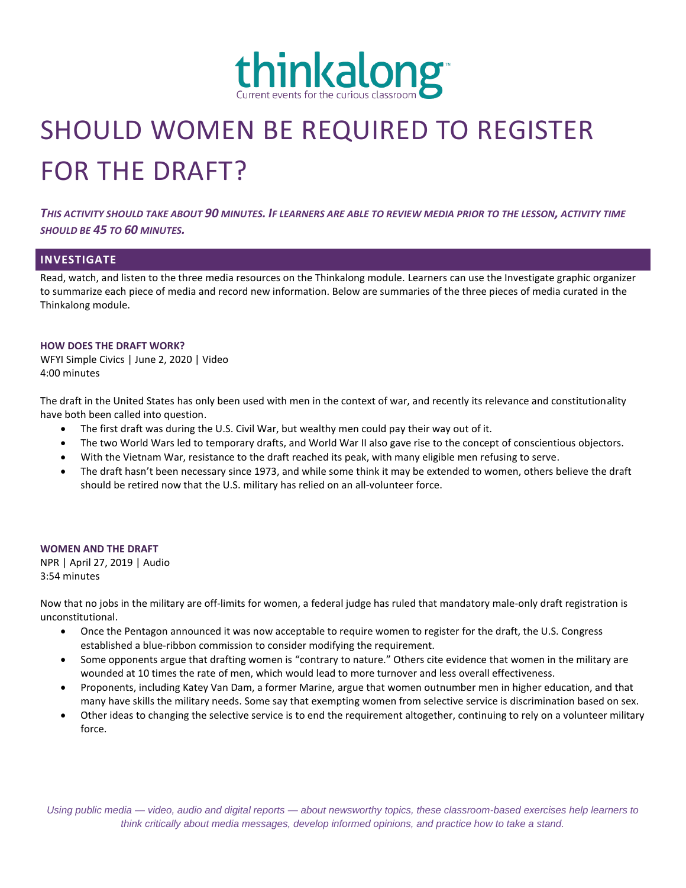

# SHOULD WOMEN BE REQUIRED TO REGISTER FOR THE DRAFT?

*THIS ACTIVITY SHOULD TAKE ABOUT 90 MINUTES. IF LEARNERS ARE ABLE TO REVIEW MEDIA PRIOR TO THE LESSON, ACTIVITY TIME SHOULD BE 45 TO 60 MINUTES.*

# **INVESTIGATE**

Read, watch, and listen to the three media resources on the Thinkalong module. Learners can use the Investigate graphic organizer to summarize each piece of media and record new information. Below are summaries of the three pieces of media curated in the Thinkalong module.

#### **HOW DOES THE DRAFT WORK?**

WFYI Simple Civics | June 2, 2020 | Video 4:00 minutes

The draft in the United States has only been used with men in the context of war, and recently its relevance and constitutionality have both been called into question.

- The first draft was during the U.S. Civil War, but wealthy men could pay their way out of it.
- The two World Wars led to temporary drafts, and World War II also gave rise to the concept of conscientious objectors.
- With the Vietnam War, resistance to the draft reached its peak, with many eligible men refusing to serve.
- The draft hasn't been necessary since 1973, and while some think it may be extended to women, others believe the draft should be retired now that the U.S. military has relied on an all-volunteer force.

# **WOMEN AND THE DRAFT**

NPR | April 27, 2019 | Audio 3:54 minutes

Now that no jobs in the military are off-limits for women, a federal judge has ruled that mandatory male-only draft registration is unconstitutional.

- Once the Pentagon announced it was now acceptable to require women to register for the draft, the U.S. Congress established a blue-ribbon commission to consider modifying the requirement.
- Some opponents argue that drafting women is "contrary to nature." Others cite evidence that women in the military are wounded at 10 times the rate of men, which would lead to more turnover and less overall effectiveness.
- Proponents, including Katey Van Dam, a former Marine, argue that women outnumber men in higher education, and that many have skills the military needs. Some say that exempting women from selective service is discrimination based on sex.
- Other ideas to changing the selective service is to end the requirement altogether, continuing to rely on a volunteer military force.

*Using public media — video, audio and digital reports — about newsworthy topics, these classroom-based exercises help learners to think critically about media messages, develop informed opinions, and practice how to take a stand.*